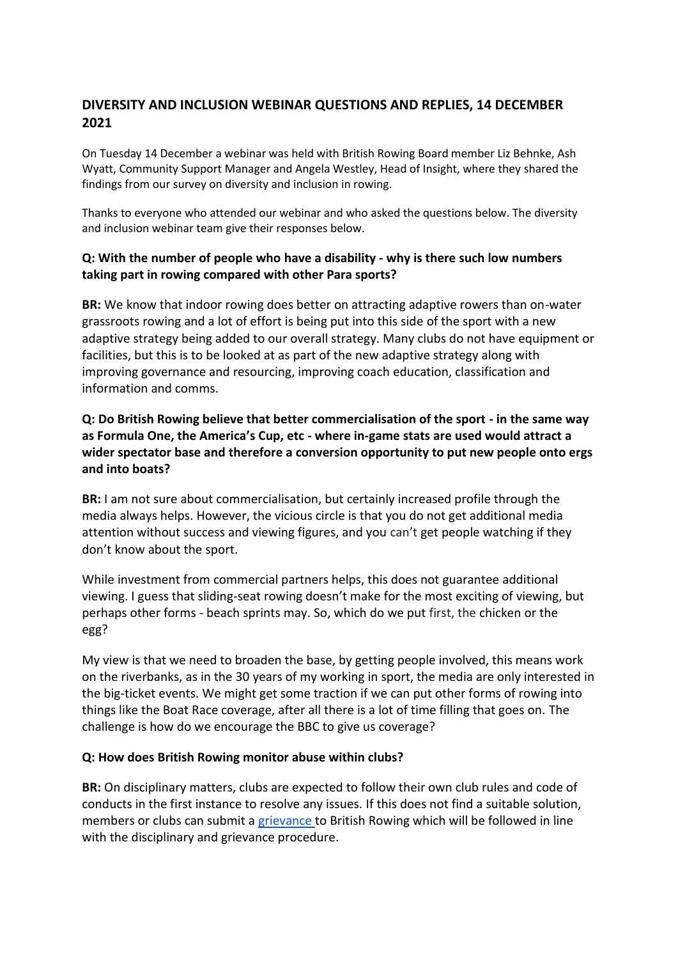# **DIVERSITY AND INCLUSION WEBINAR QUESTIONS AND REPLIES, 14 DECEMBER 2021**

On Tuesday 14 December a webinar was held with British Rowing Board member Liz Behnke, Ash Wyatt, Community Support Manager and Angela Westley, Head of Insight, where they shared the findings from our survey on diversity and inclusion in rowing.

Thanks to everyone who attended our webinar and who asked the questions below. The diversity and inclusion webinar team give their responses below.

### **Q: With the number of people who have a disability - why is there such low numbers taking part in rowing compared with other Para sports?**

**BR:** We know that indoor rowing does better on attracting adaptive rowers than on-water grassroots rowing and a lot of effort is being put into this side of the sport with a new adaptive strategy being added to our overall strategy. Many clubs do not have equipment or facilities, but this is to be looked at as part of the new adaptive strategy along with improving governance and resourcing, improving coach education, classification and information and comms.

## **Q: Do British Rowing believe that better commercialisation of the sport - in the same way as Formula One, the America's Cup, etc - where in-game stats are used would attract a wider spectator base and therefore a conversion opportunity to put new people onto ergs and into boats?**

**BR:** I am not sure about commercialisation, but certainly increased profile through the media always helps. However, the vicious circle is that you do not get additional media attention without success and viewing figures, and you can't get people watching if they don't know about the sport.

While investment from commercial partners helps, this does not guarantee additional viewing. I guess that sliding-seat rowing doesn't make for the most exciting of viewing, but perhaps other forms - beach sprints may. So, which do we put first, the chicken or the egg?

My view is that we need to broaden the base, by getting people involved, this means work on the riverbanks, as in the 30 years of my working in sport, the media are only interested in the big-ticket events. We might get some traction if we can put other forms of rowing into things like the Boat Race coverage, after all there is a lot of time filling that goes on. The challenge is how do we encourage the BBC to give us coverage?

#### **Q: How does British Rowing monitor abuse within clubs?**

**BR:** On disciplinary matters, clubs are expected to follow their own club rules and code of conducts in the first instance to resolve any issues. If this does not find a suitable solution, members or clubs can submit [a grievance t](https://www.britishrowing.org/about-us/policies-guidance/disciplinary-and-grievance-procedures/)o British Rowing which will be followed in line with the disciplinary and grievance procedure.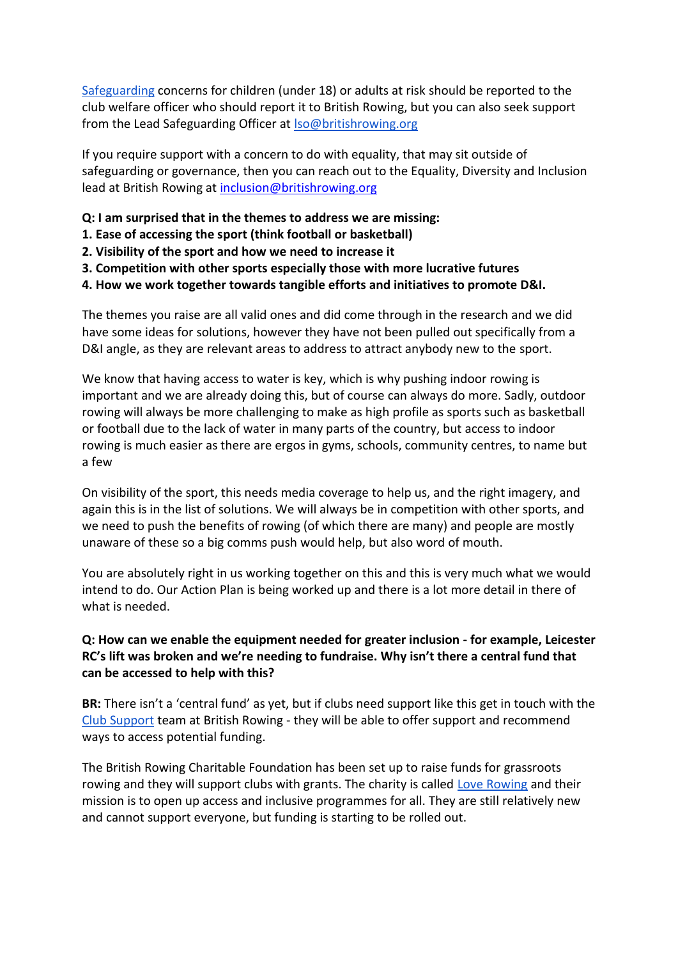[Safeguarding](https://www.britishrowing.org/knowledge/safeguarding/) concerns for children (under 18) or adults at risk should be reported to the club welfare officer who should report it to British Rowing, but you can also seek support from the Lead Safeguarding Officer at [lso@britishrowing.org](mailto:lso@britishrowing.org)

If you require support with a concern to do with equality, that may sit outside of safeguarding or governance, then you can reach out to the Equality, Diversity and Inclusion lead at British Rowing at [inclusion@britishrowing.org](mailto:inclusion@britishrowing.org)

- **Q: I am surprised that in the themes to address we are missing:**
- **1. Ease of accessing the sport (think football or basketball)**
- **2. Visibility of the sport and how we need to increase it**
- **3. Competition with other sports especially those with more lucrative futures**
- **4. How we work together towards tangible efforts and initiatives to promote D&I.**

The themes you raise are all valid ones and did come through in the research and we did have some ideas for solutions, however they have not been pulled out specifically from a D&I angle, as they are relevant areas to address to attract anybody new to the sport.

We know that having access to water is key, which is why pushing indoor rowing is important and we are already doing this, but of course can always do more. Sadly, outdoor rowing will always be more challenging to make as high profile as sports such as basketball or football due to the lack of water in many parts of the country, but access to indoor rowing is much easier as there are ergos in gyms, schools, community centres, to name but a few

On visibility of the sport, this needs media coverage to help us, and the right imagery, and again this is in the list of solutions. We will always be in competition with other sports, and we need to push the benefits of rowing (of which there are many) and people are mostly unaware of these so a big comms push would help, but also word of mouth.

You are absolutely right in us working together on this and this is very much what we would intend to do. Our Action Plan is being worked up and there is a lot more detail in there of what is needed.

## **Q: How can we enable the equipment needed for greater inclusion - for example, Leicester RC's lift was broken and we're needing to fundraise. Why isn't there a central fund that can be accessed to help with this?**

**BR:** There isn't a 'central fund' as yet, but if clubs need support like this get in touch with the [Club Support](mailto:clubsupport@britishrowing.org) team at British Rowing - they will be able to offer support and recommend ways to access potential funding.

The British Rowing Charitable Foundation has been set up to raise funds for grassroots rowing and they will support clubs with grants. The charity is called [Love Rowing](https://www.loverowing.org/) and their mission is to open up access and inclusive programmes for all. They are still relatively new and cannot support everyone, but funding is starting to be rolled out.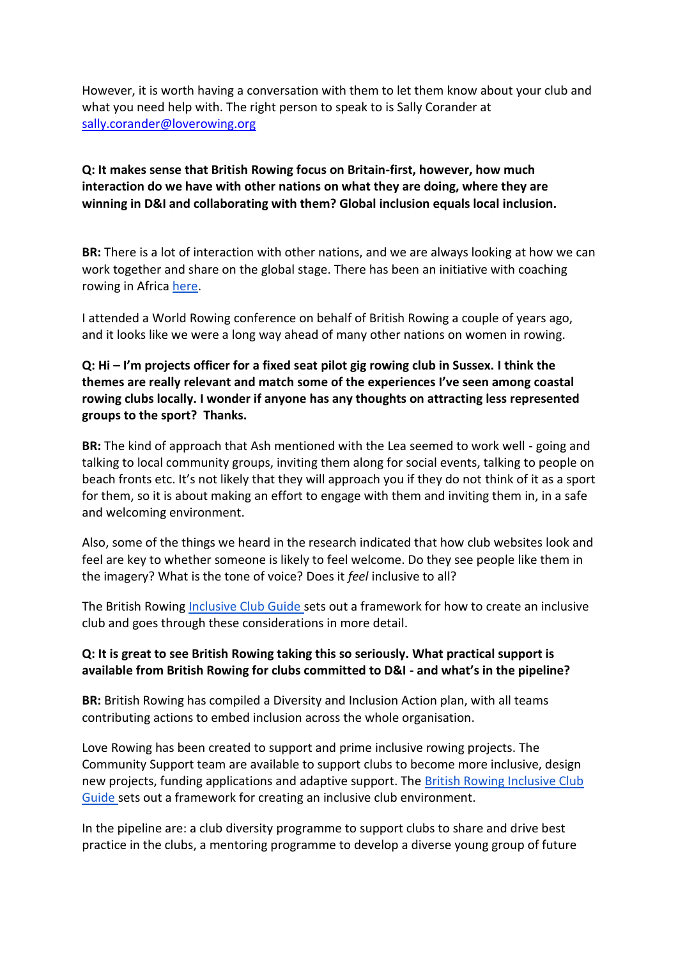However, it is worth having a conversation with them to let them know about your club and what you need help with. The right person to speak to is Sally Corander at [sally.corander@loverowing.org](mailto:sally.corander@loverowing.org)

### **Q: It makes sense that British Rowing focus on Britain-first, however, how much interaction do we have with other nations on what they are doing, where they are winning in D&I and collaborating with them? Global inclusion equals local inclusion.**

**BR:** There is a lot of interaction with other nations, and we are always looking at how we can work together and share on the global stage. There has been an initiative with coaching rowing in Africa [here.](https://www.britishrowing.org/2012/12/can-your-club-help-african-rowers/)

I attended a World Rowing conference on behalf of British Rowing a couple of years ago, and it looks like we were a long way ahead of many other nations on women in rowing.

### **Q: Hi – I'm projects officer for a fixed seat pilot gig rowing club in Sussex. I think the themes are really relevant and match some of the experiences I've seen among coastal rowing clubs locally. I wonder if anyone has any thoughts on attracting less represented groups to the sport? Thanks.**

**BR:** The kind of approach that Ash mentioned with the Lea seemed to work well - going and talking to local community groups, inviting them along for social events, talking to people on beach fronts etc. It's not likely that they will approach you if they do not think of it as a sport for them, so it is about making an effort to engage with them and inviting them in, in a safe and welcoming environment.

Also, some of the things we heard in the research indicated that how club websites look and feel are key to whether someone is likely to feel welcome. Do they see people like them in the imagery? What is the tone of voice? Does it *feel* inclusive to all?

The British Rowin[g Inclusive Club Guide s](https://www.britishrowing.org/wp-content/uploads/2018/03/British-Rowing-Inclusive-Club-Guide-2018.pdf)ets out a framework for how to create an inclusive club and goes through these considerations in more detail.

#### **Q: It is great to see British Rowing taking this so seriously. What practical support is available from British Rowing for clubs committed to D&I - and what's in the pipeline?**

**BR:** British Rowing has compiled a Diversity and Inclusion Action plan, with all teams contributing actions to embed inclusion across the whole organisation.

Love Rowing has been created to support and prime inclusive rowing projects. The Community Support team are available to support clubs to become more inclusive, design new projects, funding applications and adaptive support. The [British Rowing Inclusive Club](https://www.britishrowing.org/wp-content/uploads/2018/03/British-Rowing-Inclusive-Club-Guide-2018.pdf)  [Guide s](https://www.britishrowing.org/wp-content/uploads/2018/03/British-Rowing-Inclusive-Club-Guide-2018.pdf)ets out a framework for creating an inclusive club environment.

In the pipeline are: a club diversity programme to support clubs to share and drive best practice in the clubs, a mentoring programme to develop a diverse young group of future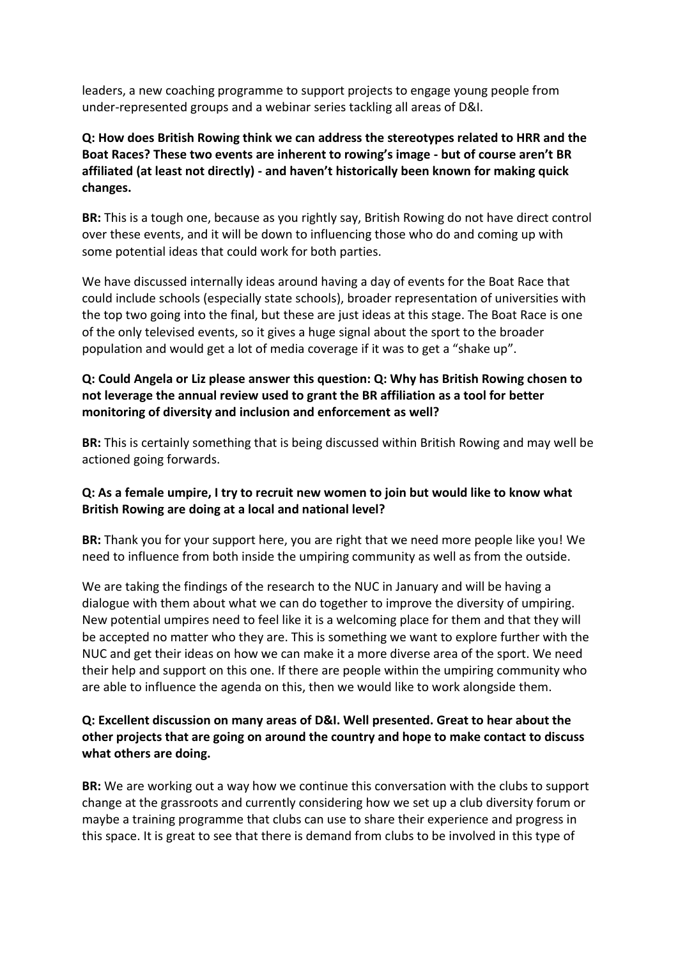leaders, a new coaching programme to support projects to engage young people from under-represented groups and a webinar series tackling all areas of D&I.

## **Q: How does British Rowing think we can address the stereotypes related to HRR and the Boat Races? These two events are inherent to rowing's image - but of course aren't BR affiliated (at least not directly) - and haven't historically been known for making quick changes.**

**BR:** This is a tough one, because as you rightly say, British Rowing do not have direct control over these events, and it will be down to influencing those who do and coming up with some potential ideas that could work for both parties.

We have discussed internally ideas around having a day of events for the Boat Race that could include schools (especially state schools), broader representation of universities with the top two going into the final, but these are just ideas at this stage. The Boat Race is one of the only televised events, so it gives a huge signal about the sport to the broader population and would get a lot of media coverage if it was to get a "shake up".

## **Q: Could Angela or Liz please answer this question: Q: Why has British Rowing chosen to not leverage the annual review used to grant the BR affiliation as a tool for better monitoring of diversity and inclusion and enforcement as well?**

**BR:** This is certainly something that is being discussed within British Rowing and may well be actioned going forwards.

## **Q: As a female umpire, I try to recruit new women to join but would like to know what British Rowing are doing at a local and national level?**

**BR:** Thank you for your support here, you are right that we need more people like you! We need to influence from both inside the umpiring community as well as from the outside.

We are taking the findings of the research to the NUC in January and will be having a dialogue with them about what we can do together to improve the diversity of umpiring. New potential umpires need to feel like it is a welcoming place for them and that they will be accepted no matter who they are. This is something we want to explore further with the NUC and get their ideas on how we can make it a more diverse area of the sport. We need their help and support on this one. If there are people within the umpiring community who are able to influence the agenda on this, then we would like to work alongside them.

## **Q: Excellent discussion on many areas of D&I. Well presented. Great to hear about the other projects that are going on around the country and hope to make contact to discuss what others are doing.**

**BR:** We are working out a way how we continue this conversation with the clubs to support change at the grassroots and currently considering how we set up a club diversity forum or maybe a training programme that clubs can use to share their experience and progress in this space. It is great to see that there is demand from clubs to be involved in this type of